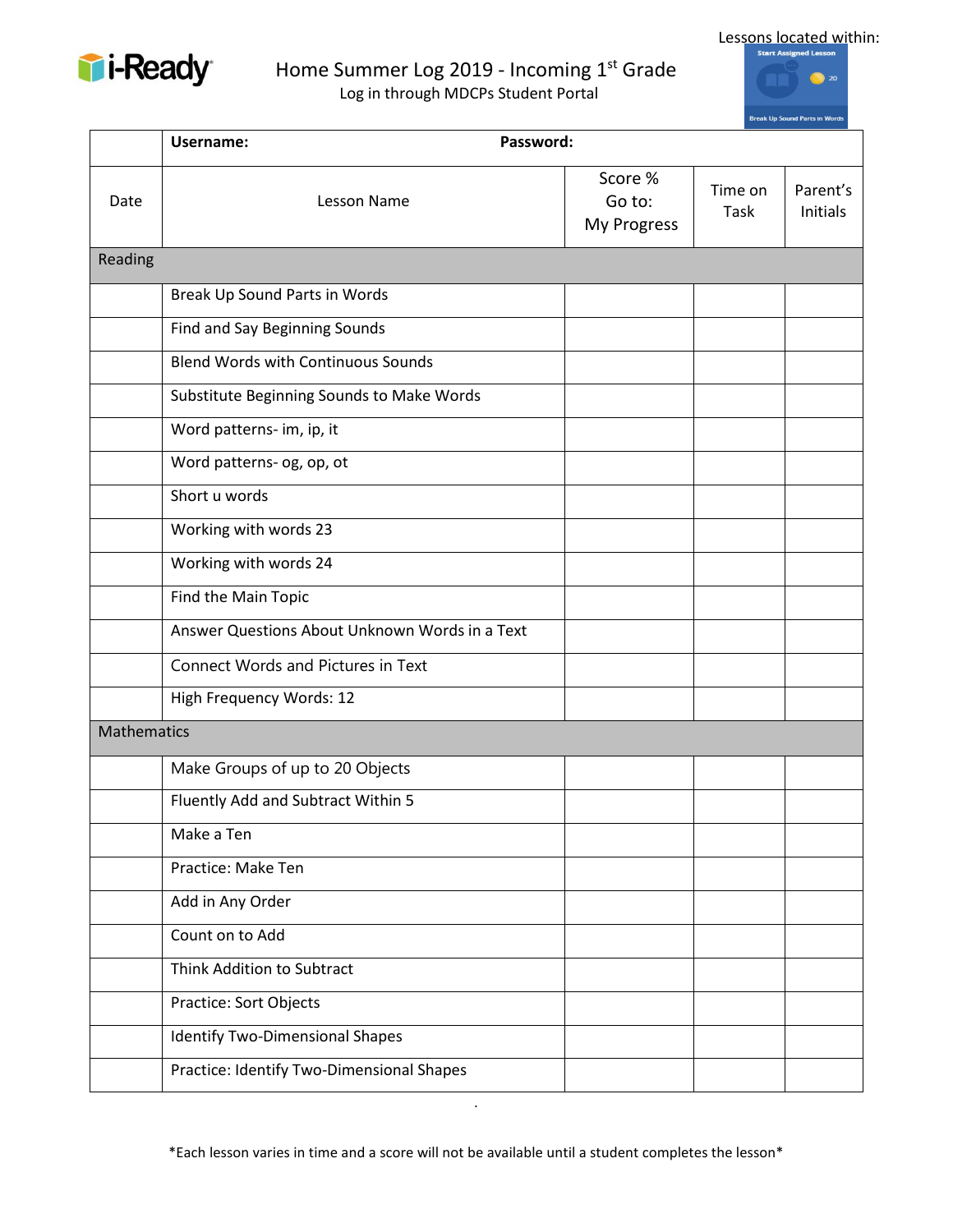

# Home Summer Log 2019 - Incoming 1st Grade

Lessons located within:



Log in through MDCPs Student Portal

|                    | Username:<br>Password:                         |                                  |                 |                      |  |
|--------------------|------------------------------------------------|----------------------------------|-----------------|----------------------|--|
| Date               | <b>Lesson Name</b>                             | Score %<br>Go to:<br>My Progress | Time on<br>Task | Parent's<br>Initials |  |
| Reading            |                                                |                                  |                 |                      |  |
|                    | Break Up Sound Parts in Words                  |                                  |                 |                      |  |
|                    | Find and Say Beginning Sounds                  |                                  |                 |                      |  |
|                    | <b>Blend Words with Continuous Sounds</b>      |                                  |                 |                      |  |
|                    | Substitute Beginning Sounds to Make Words      |                                  |                 |                      |  |
|                    | Word patterns- im, ip, it                      |                                  |                 |                      |  |
|                    | Word patterns- og, op, ot                      |                                  |                 |                      |  |
|                    | Short u words                                  |                                  |                 |                      |  |
|                    | Working with words 23                          |                                  |                 |                      |  |
|                    | Working with words 24                          |                                  |                 |                      |  |
|                    | Find the Main Topic                            |                                  |                 |                      |  |
|                    | Answer Questions About Unknown Words in a Text |                                  |                 |                      |  |
|                    | <b>Connect Words and Pictures in Text</b>      |                                  |                 |                      |  |
|                    | High Frequency Words: 12                       |                                  |                 |                      |  |
| <b>Mathematics</b> |                                                |                                  |                 |                      |  |
|                    | Make Groups of up to 20 Objects                |                                  |                 |                      |  |
|                    | Fluently Add and Subtract Within 5             |                                  |                 |                      |  |
|                    | Make a Ten                                     |                                  |                 |                      |  |
|                    | Practice: Make Ten                             |                                  |                 |                      |  |
|                    | Add in Any Order                               |                                  |                 |                      |  |
|                    | Count on to Add                                |                                  |                 |                      |  |
|                    | Think Addition to Subtract                     |                                  |                 |                      |  |
|                    | Practice: Sort Objects                         |                                  |                 |                      |  |
|                    | Identify Two-Dimensional Shapes                |                                  |                 |                      |  |
|                    | Practice: Identify Two-Dimensional Shapes      |                                  |                 |                      |  |

\*Each lesson varies in time and a score will not be available until a student completes the lesson\*

.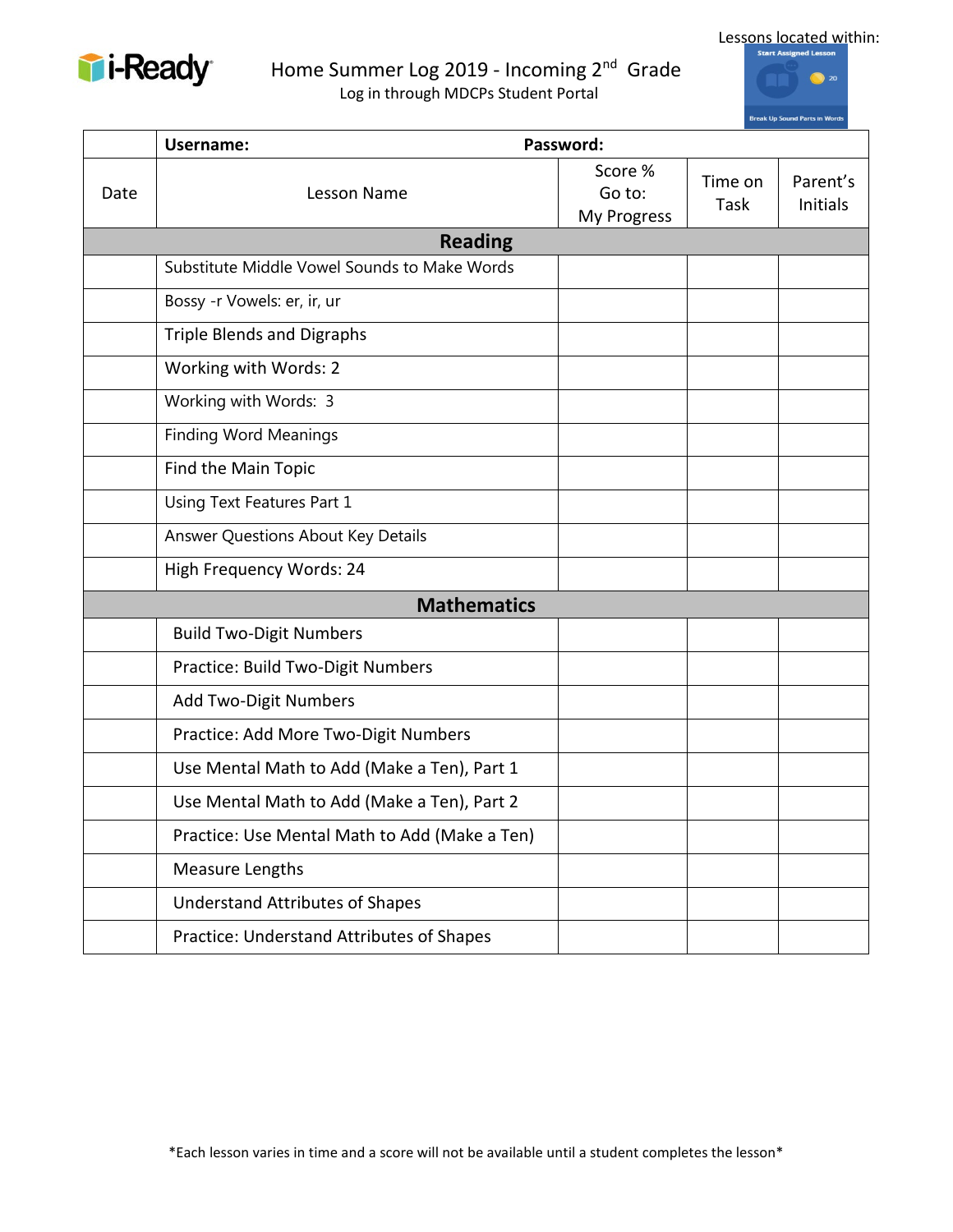

### Home Summer Log 2019 - Incoming 2<sup>nd</sup> Grade Log in through MDCPs Student Portal





|      | Password:<br>Username:                        |                                  |                 |                      |  |
|------|-----------------------------------------------|----------------------------------|-----------------|----------------------|--|
| Date | <b>Lesson Name</b>                            | Score %<br>Go to:<br>My Progress | Time on<br>Task | Parent's<br>Initials |  |
|      | <b>Reading</b>                                |                                  |                 |                      |  |
|      | Substitute Middle Vowel Sounds to Make Words  |                                  |                 |                      |  |
|      | Bossy -r Vowels: er, ir, ur                   |                                  |                 |                      |  |
|      | <b>Triple Blends and Digraphs</b>             |                                  |                 |                      |  |
|      | Working with Words: 2                         |                                  |                 |                      |  |
|      | Working with Words: 3                         |                                  |                 |                      |  |
|      | <b>Finding Word Meanings</b>                  |                                  |                 |                      |  |
|      | Find the Main Topic                           |                                  |                 |                      |  |
|      | Using Text Features Part 1                    |                                  |                 |                      |  |
|      | Answer Questions About Key Details            |                                  |                 |                      |  |
|      | High Frequency Words: 24                      |                                  |                 |                      |  |
|      | <b>Mathematics</b>                            |                                  |                 |                      |  |
|      | <b>Build Two-Digit Numbers</b>                |                                  |                 |                      |  |
|      | Practice: Build Two-Digit Numbers             |                                  |                 |                      |  |
|      | Add Two-Digit Numbers                         |                                  |                 |                      |  |
|      | Practice: Add More Two-Digit Numbers          |                                  |                 |                      |  |
|      | Use Mental Math to Add (Make a Ten), Part 1   |                                  |                 |                      |  |
|      | Use Mental Math to Add (Make a Ten), Part 2   |                                  |                 |                      |  |
|      | Practice: Use Mental Math to Add (Make a Ten) |                                  |                 |                      |  |
|      | <b>Measure Lengths</b>                        |                                  |                 |                      |  |
|      | <b>Understand Attributes of Shapes</b>        |                                  |                 |                      |  |
|      | Practice: Understand Attributes of Shapes     |                                  |                 |                      |  |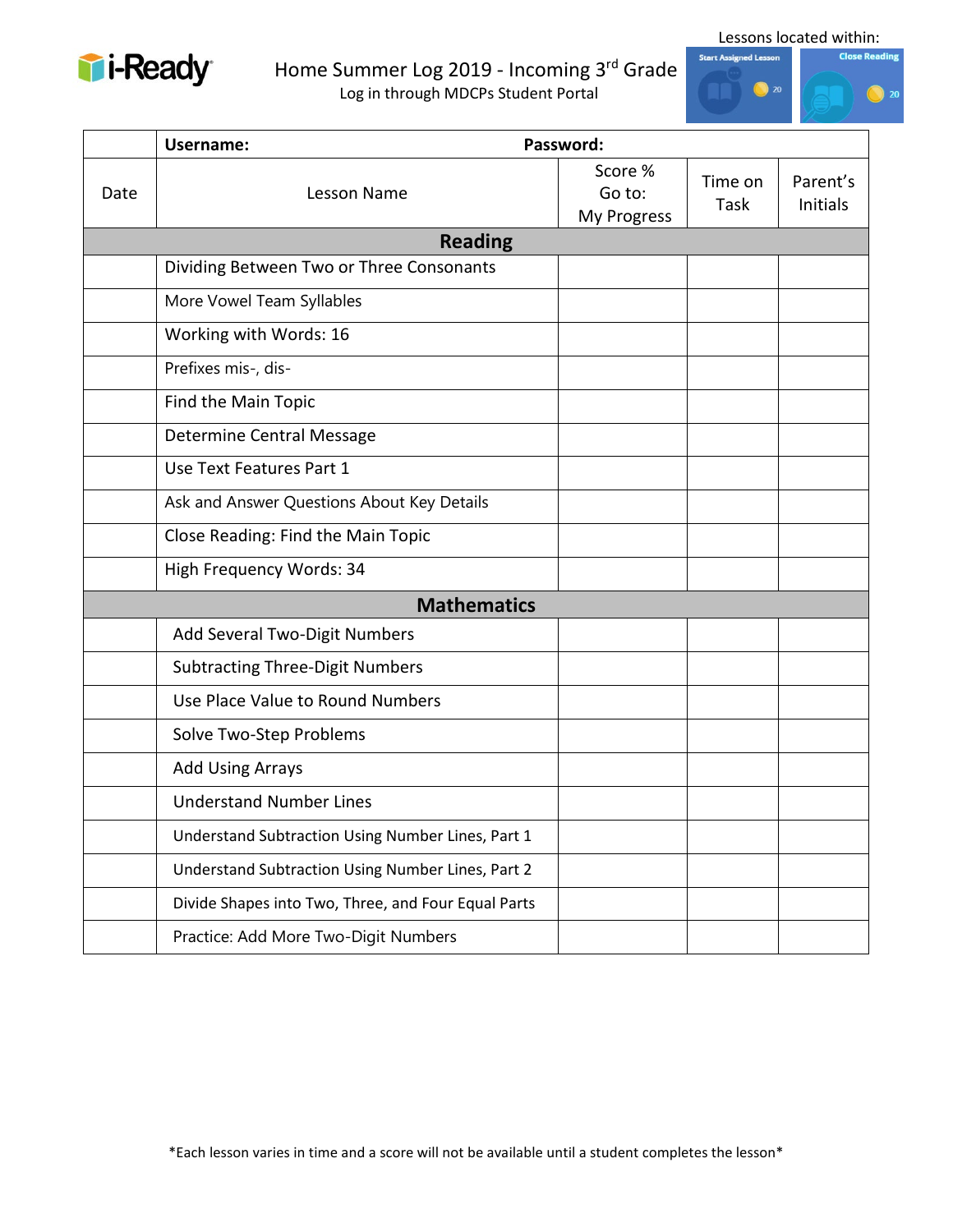

### Home Summer Log 2019 - Incoming 3rd Grade Log in through MDCPs Student Portal



|      | Password:<br><b>Username:</b>                       |                                  |                 |                      |  |
|------|-----------------------------------------------------|----------------------------------|-----------------|----------------------|--|
| Date | <b>Lesson Name</b>                                  | Score %<br>Go to:<br>My Progress | Time on<br>Task | Parent's<br>Initials |  |
|      | <b>Reading</b>                                      |                                  |                 |                      |  |
|      | Dividing Between Two or Three Consonants            |                                  |                 |                      |  |
|      | More Vowel Team Syllables                           |                                  |                 |                      |  |
|      | Working with Words: 16                              |                                  |                 |                      |  |
|      | Prefixes mis-, dis-                                 |                                  |                 |                      |  |
|      | Find the Main Topic                                 |                                  |                 |                      |  |
|      | Determine Central Message                           |                                  |                 |                      |  |
|      | Use Text Features Part 1                            |                                  |                 |                      |  |
|      | Ask and Answer Questions About Key Details          |                                  |                 |                      |  |
|      | Close Reading: Find the Main Topic                  |                                  |                 |                      |  |
|      | High Frequency Words: 34                            |                                  |                 |                      |  |
|      | <b>Mathematics</b>                                  |                                  |                 |                      |  |
|      | Add Several Two-Digit Numbers                       |                                  |                 |                      |  |
|      | <b>Subtracting Three-Digit Numbers</b>              |                                  |                 |                      |  |
|      | Use Place Value to Round Numbers                    |                                  |                 |                      |  |
|      | Solve Two-Step Problems                             |                                  |                 |                      |  |
|      | <b>Add Using Arrays</b>                             |                                  |                 |                      |  |
|      | <b>Understand Number Lines</b>                      |                                  |                 |                      |  |
|      | Understand Subtraction Using Number Lines, Part 1   |                                  |                 |                      |  |
|      | Understand Subtraction Using Number Lines, Part 2   |                                  |                 |                      |  |
|      | Divide Shapes into Two, Three, and Four Equal Parts |                                  |                 |                      |  |
|      | Practice: Add More Two-Digit Numbers                |                                  |                 |                      |  |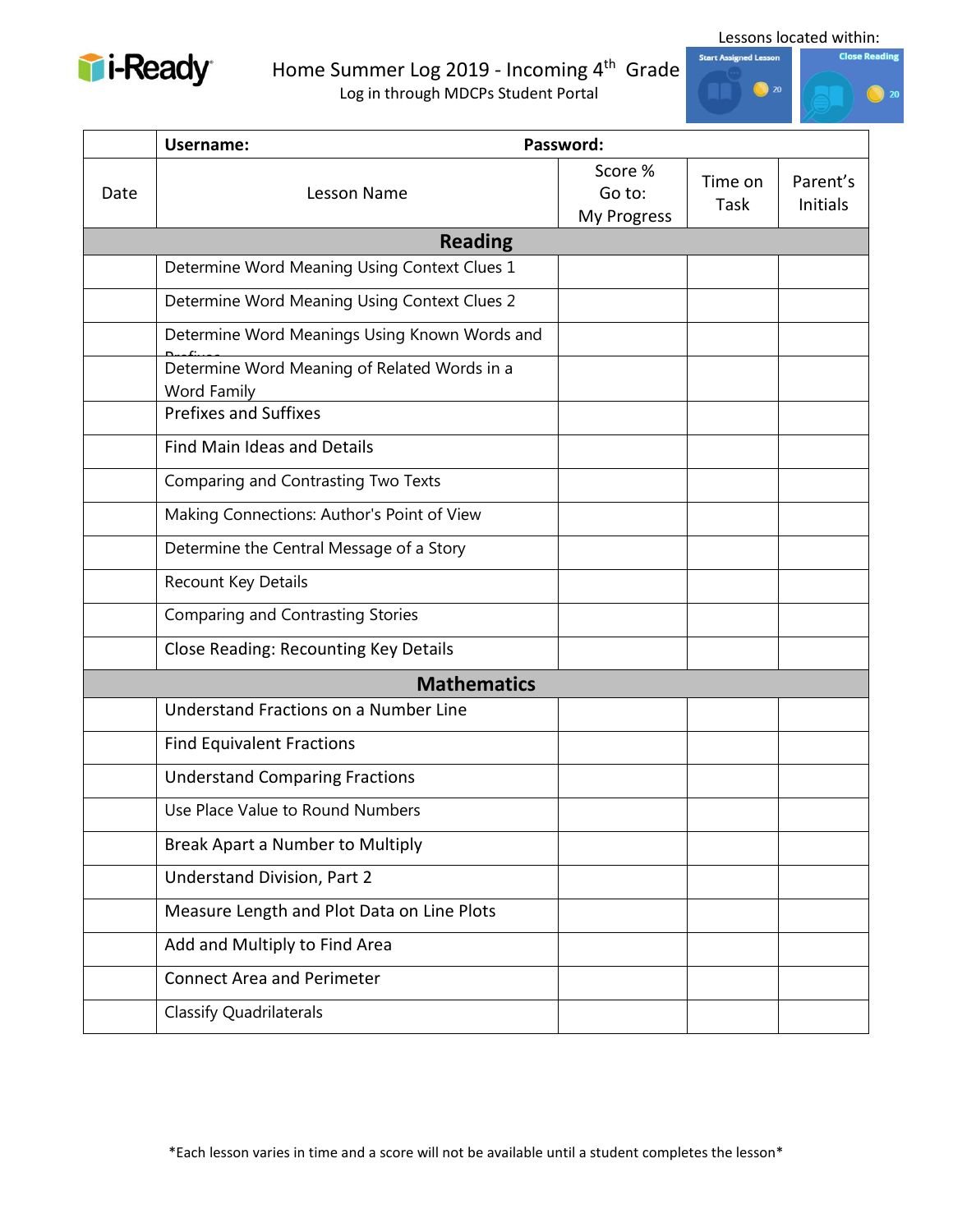

Home Summer Log 2019 - Incoming 4<sup>th</sup> Grade Log in through MDCPs Student Portal



|      | Password:<br>Username:                                      |                                  |                 |                      |  |
|------|-------------------------------------------------------------|----------------------------------|-----------------|----------------------|--|
| Date | Lesson Name                                                 | Score %<br>Go to:<br>My Progress | Time on<br>Task | Parent's<br>Initials |  |
|      | <b>Reading</b>                                              |                                  |                 |                      |  |
|      | Determine Word Meaning Using Context Clues 1                |                                  |                 |                      |  |
|      | Determine Word Meaning Using Context Clues 2                |                                  |                 |                      |  |
|      | Determine Word Meanings Using Known Words and               |                                  |                 |                      |  |
|      | Determine Word Meaning of Related Words in a<br>Word Family |                                  |                 |                      |  |
|      | <b>Prefixes and Suffixes</b>                                |                                  |                 |                      |  |
|      | Find Main Ideas and Details                                 |                                  |                 |                      |  |
|      | <b>Comparing and Contrasting Two Texts</b>                  |                                  |                 |                      |  |
|      | Making Connections: Author's Point of View                  |                                  |                 |                      |  |
|      | Determine the Central Message of a Story                    |                                  |                 |                      |  |
|      | Recount Key Details                                         |                                  |                 |                      |  |
|      | <b>Comparing and Contrasting Stories</b>                    |                                  |                 |                      |  |
|      | Close Reading: Recounting Key Details                       |                                  |                 |                      |  |
|      | <b>Mathematics</b>                                          |                                  |                 |                      |  |
|      | Understand Fractions on a Number Line                       |                                  |                 |                      |  |
|      | <b>Find Equivalent Fractions</b>                            |                                  |                 |                      |  |
|      | <b>Understand Comparing Fractions</b>                       |                                  |                 |                      |  |
|      | Use Place Value to Round Numbers                            |                                  |                 |                      |  |
|      | Break Apart a Number to Multiply                            |                                  |                 |                      |  |
|      | Understand Division, Part 2                                 |                                  |                 |                      |  |
|      | Measure Length and Plot Data on Line Plots                  |                                  |                 |                      |  |
|      | Add and Multiply to Find Area                               |                                  |                 |                      |  |
|      | <b>Connect Area and Perimeter</b>                           |                                  |                 |                      |  |
|      | <b>Classify Quadrilaterals</b>                              |                                  |                 |                      |  |
|      |                                                             |                                  |                 |                      |  |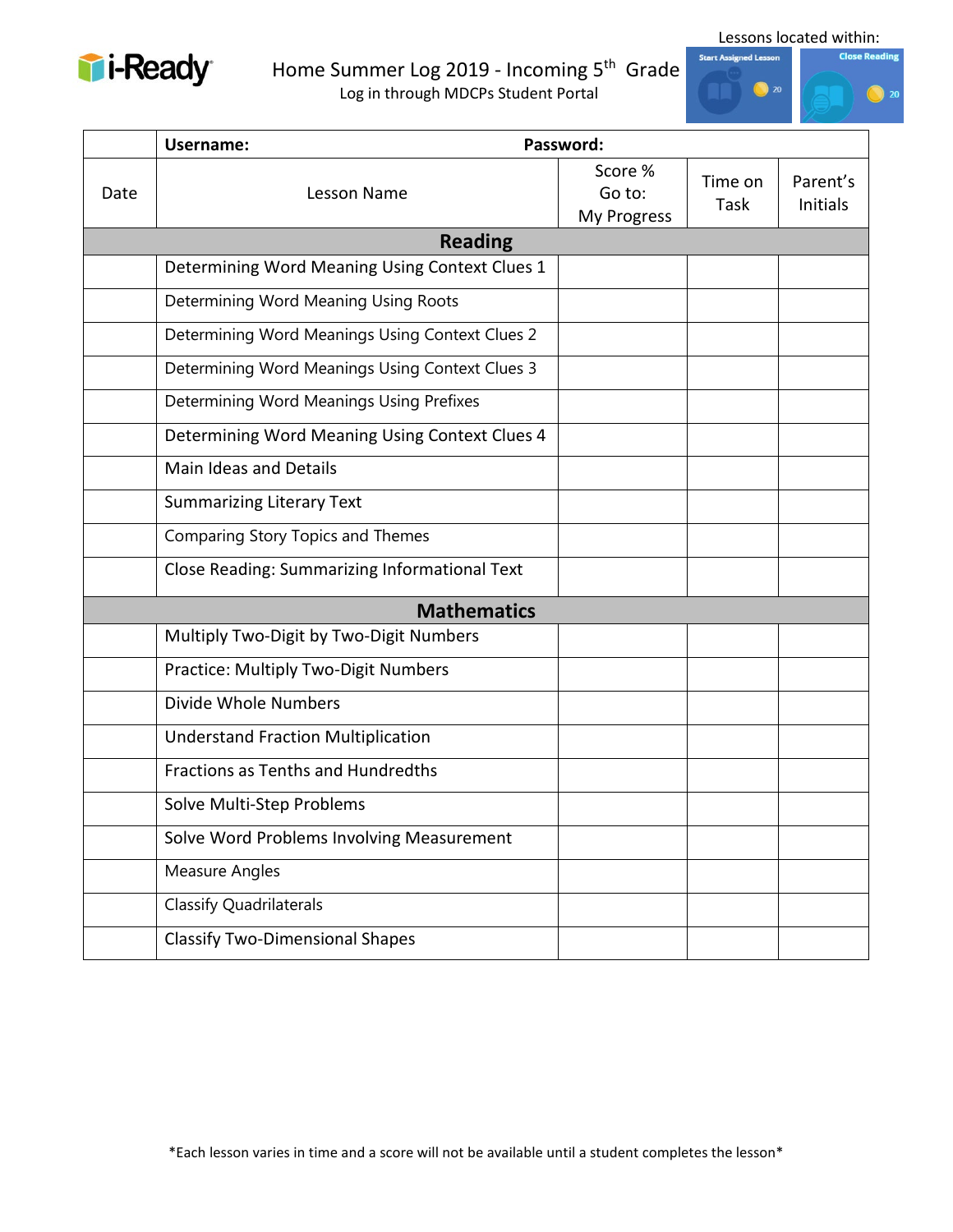

Home Summer Log 2019 - Incoming 5<sup>th</sup> Grade Log in through MDCPs Student Portal



|      | Password:<br>Username:                          |                                  |                 |                             |  |
|------|-------------------------------------------------|----------------------------------|-----------------|-----------------------------|--|
| Date | <b>Lesson Name</b>                              | Score %<br>Go to:<br>My Progress | Time on<br>Task | Parent's<br><b>Initials</b> |  |
|      | <b>Reading</b>                                  |                                  |                 |                             |  |
|      | Determining Word Meaning Using Context Clues 1  |                                  |                 |                             |  |
|      | Determining Word Meaning Using Roots            |                                  |                 |                             |  |
|      | Determining Word Meanings Using Context Clues 2 |                                  |                 |                             |  |
|      | Determining Word Meanings Using Context Clues 3 |                                  |                 |                             |  |
|      | Determining Word Meanings Using Prefixes        |                                  |                 |                             |  |
|      | Determining Word Meaning Using Context Clues 4  |                                  |                 |                             |  |
|      | <b>Main Ideas and Details</b>                   |                                  |                 |                             |  |
|      | <b>Summarizing Literary Text</b>                |                                  |                 |                             |  |
|      | <b>Comparing Story Topics and Themes</b>        |                                  |                 |                             |  |
|      | Close Reading: Summarizing Informational Text   |                                  |                 |                             |  |
|      | <b>Mathematics</b>                              |                                  |                 |                             |  |
|      | Multiply Two-Digit by Two-Digit Numbers         |                                  |                 |                             |  |
|      | Practice: Multiply Two-Digit Numbers            |                                  |                 |                             |  |
|      | Divide Whole Numbers                            |                                  |                 |                             |  |
|      | <b>Understand Fraction Multiplication</b>       |                                  |                 |                             |  |
|      | <b>Fractions as Tenths and Hundredths</b>       |                                  |                 |                             |  |
|      | Solve Multi-Step Problems                       |                                  |                 |                             |  |
|      | Solve Word Problems Involving Measurement       |                                  |                 |                             |  |
|      | <b>Measure Angles</b>                           |                                  |                 |                             |  |
|      | Classify Quadrilaterals                         |                                  |                 |                             |  |
|      | <b>Classify Two-Dimensional Shapes</b>          |                                  |                 |                             |  |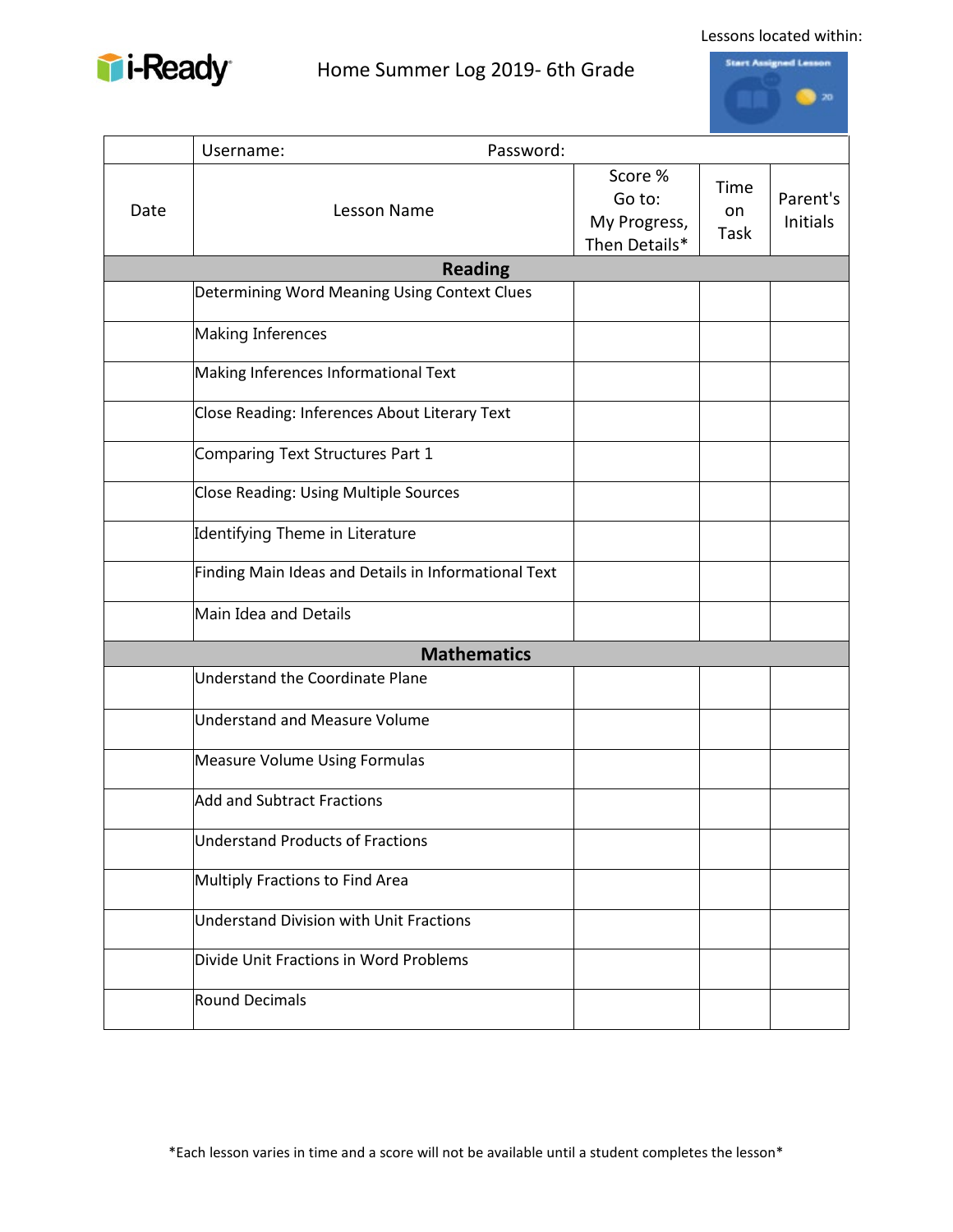

# Home Summer Log 2019- 6th Grade

Lessons located within:



|      | Password:<br>Username:                               |                                                    |                     |                             |
|------|------------------------------------------------------|----------------------------------------------------|---------------------|-----------------------------|
| Date | <b>Lesson Name</b>                                   | Score %<br>Go to:<br>My Progress,<br>Then Details* | Time<br>on.<br>Task | Parent's<br><b>Initials</b> |
|      | <b>Reading</b>                                       |                                                    |                     |                             |
|      | Determining Word Meaning Using Context Clues         |                                                    |                     |                             |
|      | <b>Making Inferences</b>                             |                                                    |                     |                             |
|      | Making Inferences Informational Text                 |                                                    |                     |                             |
|      | Close Reading: Inferences About Literary Text        |                                                    |                     |                             |
|      | Comparing Text Structures Part 1                     |                                                    |                     |                             |
|      | Close Reading: Using Multiple Sources                |                                                    |                     |                             |
|      | Identifying Theme in Literature                      |                                                    |                     |                             |
|      | Finding Main Ideas and Details in Informational Text |                                                    |                     |                             |
|      | Main Idea and Details                                |                                                    |                     |                             |
|      | <b>Mathematics</b>                                   |                                                    |                     |                             |
|      | Understand the Coordinate Plane                      |                                                    |                     |                             |
|      | Understand and Measure Volume                        |                                                    |                     |                             |
|      | <b>Measure Volume Using Formulas</b>                 |                                                    |                     |                             |
|      | <b>Add and Subtract Fractions</b>                    |                                                    |                     |                             |
|      | <b>Understand Products of Fractions</b>              |                                                    |                     |                             |
|      | Multiply Fractions to Find Area                      |                                                    |                     |                             |
|      | Understand Division with Unit Fractions              |                                                    |                     |                             |
|      | Divide Unit Fractions in Word Problems               |                                                    |                     |                             |
|      | <b>Round Decimals</b>                                |                                                    |                     |                             |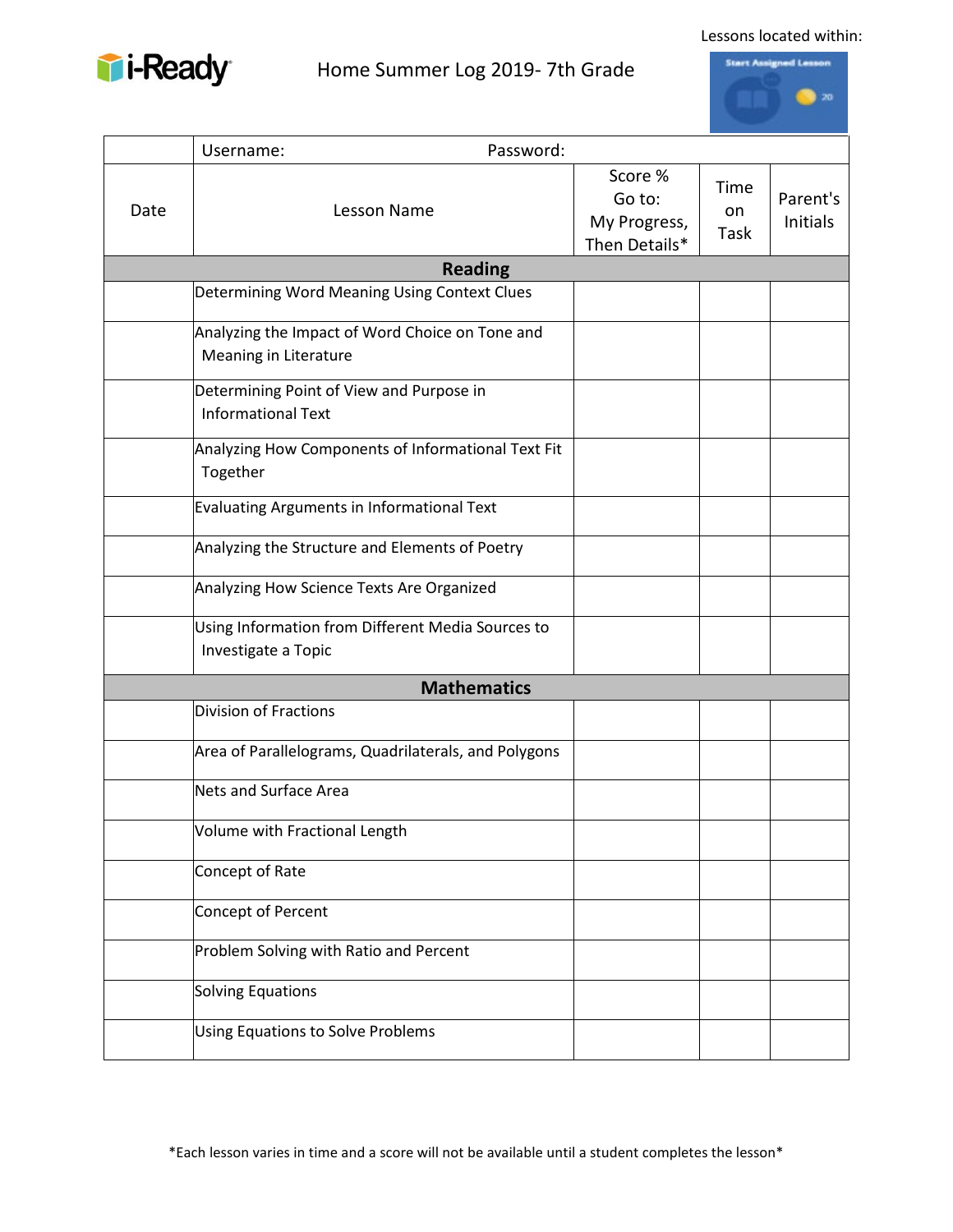

# Home Summer Log 2019- 7th Grade

Lessons located within:



|      | Password:<br>Username:                                                   |                                                    |                     |                      |
|------|--------------------------------------------------------------------------|----------------------------------------------------|---------------------|----------------------|
| Date | Lesson Name                                                              | Score %<br>Go to:<br>My Progress,<br>Then Details* | Time<br>on.<br>Task | Parent's<br>Initials |
|      | <b>Reading</b>                                                           |                                                    |                     |                      |
|      | Determining Word Meaning Using Context Clues                             |                                                    |                     |                      |
|      | Analyzing the Impact of Word Choice on Tone and<br>Meaning in Literature |                                                    |                     |                      |
|      | Determining Point of View and Purpose in<br><b>Informational Text</b>    |                                                    |                     |                      |
|      | Analyzing How Components of Informational Text Fit<br>Together           |                                                    |                     |                      |
|      | <b>Evaluating Arguments in Informational Text</b>                        |                                                    |                     |                      |
|      | Analyzing the Structure and Elements of Poetry                           |                                                    |                     |                      |
|      | Analyzing How Science Texts Are Organized                                |                                                    |                     |                      |
|      | Using Information from Different Media Sources to<br>Investigate a Topic |                                                    |                     |                      |
|      | <b>Mathematics</b>                                                       |                                                    |                     |                      |
|      | <b>Division of Fractions</b>                                             |                                                    |                     |                      |
|      | Area of Parallelograms, Quadrilaterals, and Polygons                     |                                                    |                     |                      |
|      | Nets and Surface Area                                                    |                                                    |                     |                      |
|      | Volume with Fractional Length                                            |                                                    |                     |                      |
|      | Concept of Rate                                                          |                                                    |                     |                      |
|      | Concept of Percent                                                       |                                                    |                     |                      |
|      | Problem Solving with Ratio and Percent                                   |                                                    |                     |                      |
|      | Solving Equations                                                        |                                                    |                     |                      |
|      | Using Equations to Solve Problems                                        |                                                    |                     |                      |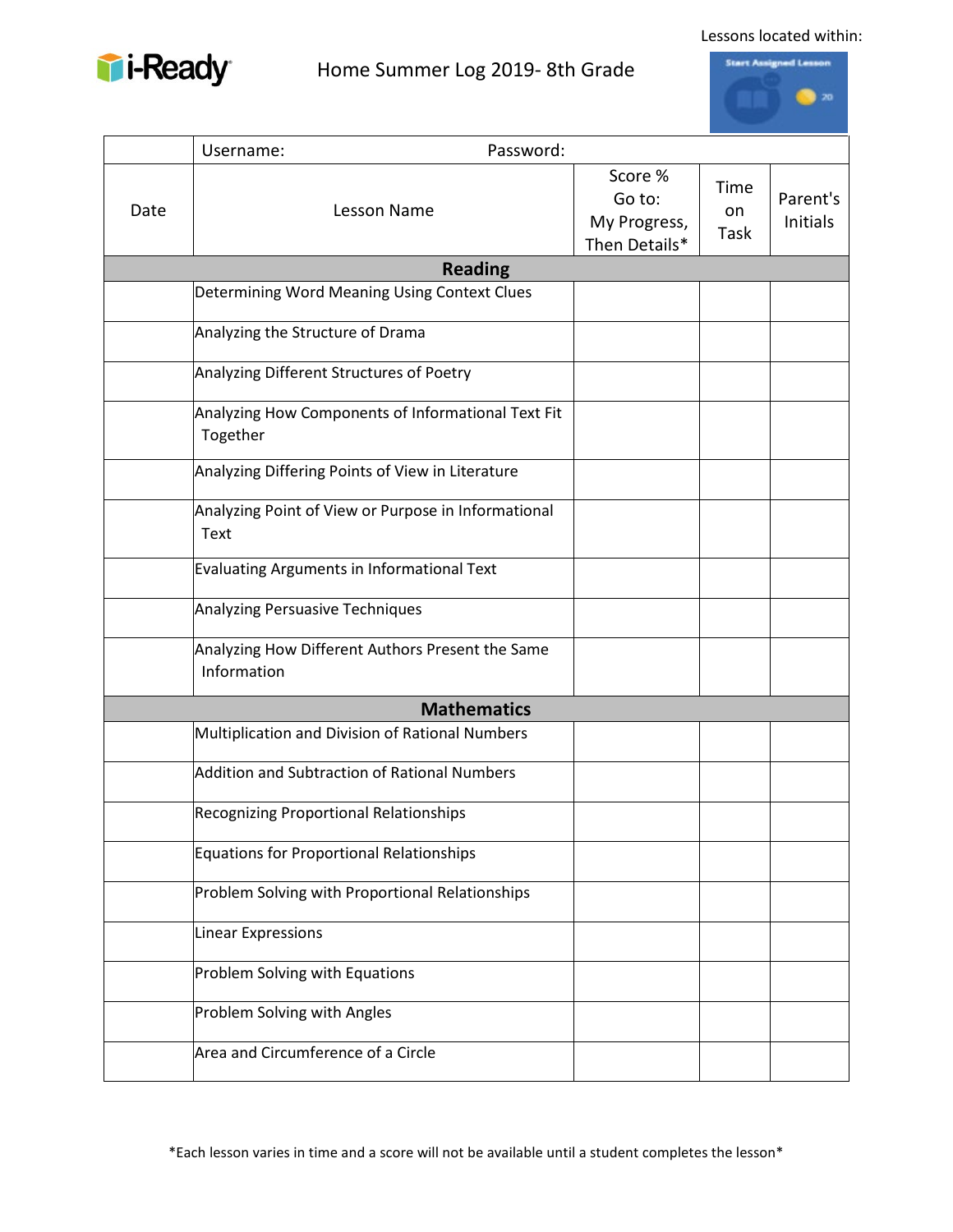

# Home Summer Log 2019- 8th Grade

Lessons located within:



|      | Password:<br>Username:                                          |                                                    |                    |                      |
|------|-----------------------------------------------------------------|----------------------------------------------------|--------------------|----------------------|
| Date | Lesson Name                                                     | Score %<br>Go to:<br>My Progress,<br>Then Details* | Time<br>on<br>Task | Parent's<br>Initials |
|      | <b>Reading</b>                                                  |                                                    |                    |                      |
|      | Determining Word Meaning Using Context Clues                    |                                                    |                    |                      |
|      | Analyzing the Structure of Drama                                |                                                    |                    |                      |
|      | Analyzing Different Structures of Poetry                        |                                                    |                    |                      |
|      | Analyzing How Components of Informational Text Fit<br>Together  |                                                    |                    |                      |
|      | Analyzing Differing Points of View in Literature                |                                                    |                    |                      |
|      | Analyzing Point of View or Purpose in Informational<br>Text     |                                                    |                    |                      |
|      | <b>Evaluating Arguments in Informational Text</b>               |                                                    |                    |                      |
|      | Analyzing Persuasive Techniques                                 |                                                    |                    |                      |
|      | Analyzing How Different Authors Present the Same<br>Information |                                                    |                    |                      |
|      | <b>Mathematics</b>                                              |                                                    |                    |                      |
|      | Multiplication and Division of Rational Numbers                 |                                                    |                    |                      |
|      | <b>Addition and Subtraction of Rational Numbers</b>             |                                                    |                    |                      |
|      | <b>Recognizing Proportional Relationships</b>                   |                                                    |                    |                      |
|      | Equations for Proportional Relationships                        |                                                    |                    |                      |
|      | Problem Solving with Proportional Relationships                 |                                                    |                    |                      |
|      | <b>Linear Expressions</b>                                       |                                                    |                    |                      |
|      | Problem Solving with Equations                                  |                                                    |                    |                      |
|      | Problem Solving with Angles                                     |                                                    |                    |                      |
|      | Area and Circumference of a Circle                              |                                                    |                    |                      |